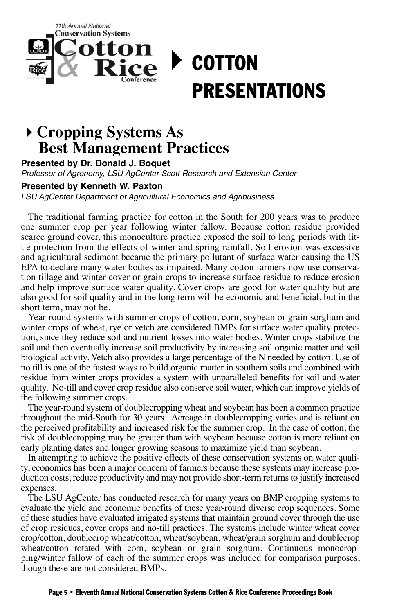

## **Cropping Systems As Best Management Practices**

**Presented by Dr. Donald J. Boquet**

Professor of Agronomy, LSU AgCenter Scott Research and Extension Center

## **Presented by Kenneth W. Paxton**

LSU AgCenter Department of Agricultural Economics and Agribusiness

The traditional farming practice for cotton in the South for 200 years was to produce one summer crop per year following winter fallow. Because cotton residue provided scarce ground cover, this monoculture practice exposed the soil to long periods with little protection from the effects of winter and spring rainfall. Soil erosion was excessive and agricultural sediment became the primary pollutant of surface water causing the US EPA to declare many water bodies as impaired. Many cotton farmers now use conservation tillage and winter cover or grain crops to increase surface residue to reduce erosion and help improve surface water quality. Cover crops are good for water quality but are also good for soil quality and in the long term will be economic and beneficial, but in the short term, may not be.

Year-round systems with summer crops of cotton, corn, soybean or grain sorghum and winter crops of wheat, rye or vetch are considered BMPs for surface water quality protection, since they reduce soil and nutrient losses into water bodies. Winter crops stabilize the soil and then eventually increase soil productivity by increasing soil organic matter and soil biological activity. Vetch also provides a large percentage of the N needed by cotton. Use of no till is one of the fastest ways to build organic matter in southern soils and combined with residue from winter crops provides a system with unparalleled benefits for soil and water quality. No-till and cover crop residue also conserve soil water, which can improve yields of the following summer crops.

The year-round system of doublecropping wheat and soybean has been a common practice throughout the mid-South for 30 years. Acreage in doublecropping varies and is reliant on the perceived profitability and increased risk for the summer crop. In the case of cotton, the risk of doublecropping may be greater than with soybean because cotton is more reliant on early planting dates and longer growing seasons to maximize yield than soybean.

In attempting to achieve the positive effects of these conservation systems on water quality, economics has been a major concern of farmers because these systems may increase production costs, reduce productivity and may not provide short-term returns to justify increased expenses.

The LSU AgCenter has conducted research for many years on BMP cropping systems to evaluate the yield and economic benefits of these year-round diverse crop sequences. Some of these studies have evaluated irrigated systems that maintain ground cover through the use of crop residues, cover crops and no-till practices. The systems include winter wheat cover crop/cotton, doublecrop wheat/cotton, wheat/soybean, wheat/grain sorghum and doublecrop wheat/cotton rotated with corn, soybean or grain sorghum. Continuous monocropping/winter fallow of each of the summer crops was included for comparison purposes, though these are not considered BMPs.